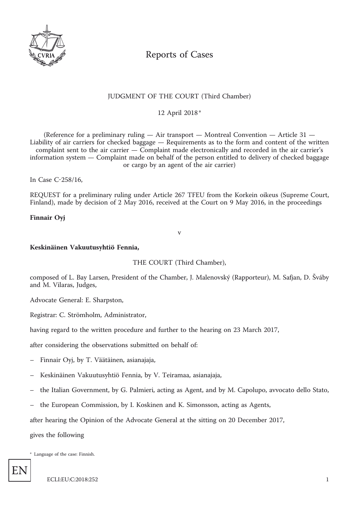

# Reports of Cases

# JUDGMENT OF THE COURT (Third Chamber)

12 April 2018 \*

(Reference for a preliminary ruling — Air transport — Montreal Convention — Article 31 — Liability of air carriers for checked baggage — Requirements as to the form and content of the written complaint sent to the air carrier — Complaint made electronically and recorded in the air carrier's information system — Complaint made on behalf of the person entitled to delivery of checked baggage or cargo by an agent of the air carrier)

In Case C-258/16,

REQUEST for a preliminary ruling under Article 267 TFEU from the Korkein oikeus (Supreme Court, Finland), made by decision of 2 May 2016, received at the Court on 9 May 2016, in the proceedings

#### **Finnair Oyj**

v

#### **Keskinäinen Vakuutusyhtiö Fennia,**

THE COURT (Third Chamber),

composed of L. Bay Larsen, President of the Chamber, J. Malenovský (Rapporteur), M. Safjan, D. Šváby and M. Vilaras, Judges,

Advocate General: E. Sharpston,

Registrar: C. Strömholm, Administrator,

having regard to the written procedure and further to the hearing on 23 March 2017,

after considering the observations submitted on behalf of:

- Finnair Oyj, by T. Väätäinen, asianajaja,
- Keskinäinen Vakuutusyhtiö Fennia, by V. Teiramaa, asianajaja,
- the Italian Government, by G. Palmieri, acting as Agent, and by M. Capolupo, avvocato dello Stato,
- the European Commission, by I. Koskinen and K. Simonsson, acting as Agents,

after hearing the Opinion of the Advocate General at the sitting on 20 December 2017,

gives the following

\* Language of the case: Finnish.

EN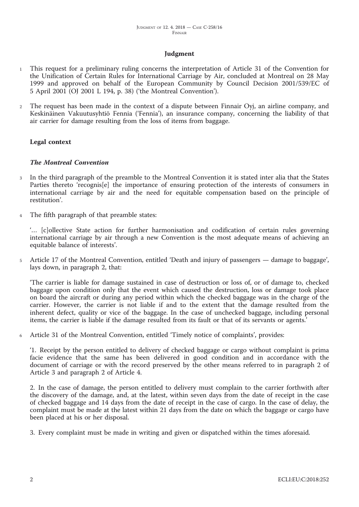#### **Judgment**

- <sup>1</sup> This request for a preliminary ruling concerns the interpretation of Article 31 of the Convention for the Unification of Certain Rules for International Carriage by Air, concluded at Montreal on 28 May 1999 and approved on behalf of the European Community by Council Decision 2001/539/EC of 5 April 2001 (OJ 2001 L 194, p. 38) ('the Montreal Convention').
- <sup>2</sup> The request has been made in the context of a dispute between Finnair Oyj, an airline company, and Keskinäinen Vakuutusyhtiö Fennia ('Fennia'), an insurance company, concerning the liability of that air carrier for damage resulting from the loss of items from baggage.

#### **Legal context**

#### *The Montreal Convention*

- <sup>3</sup> In the third paragraph of the preamble to the Montreal Convention it is stated inter alia that the States Parties thereto 'recognis[e] the importance of ensuring protection of the interests of consumers in international carriage by air and the need for equitable compensation based on the principle of restitution'.
- The fifth paragraph of that preamble states:

'… [c]ollective State action for further harmonisation and codification of certain rules governing international carriage by air through a new Convention is the most adequate means of achieving an equitable balance of interests'.

<sup>5</sup> Article 17 of the Montreal Convention, entitled 'Death and injury of passengers — damage to baggage', lays down, in paragraph 2, that:

'The carrier is liable for damage sustained in case of destruction or loss of, or of damage to, checked baggage upon condition only that the event which caused the destruction, loss or damage took place on board the aircraft or during any period within which the checked baggage was in the charge of the carrier. However, the carrier is not liable if and to the extent that the damage resulted from the inherent defect, quality or vice of the baggage. In the case of unchecked baggage, including personal items, the carrier is liable if the damage resulted from its fault or that of its servants or agents.'

<sup>6</sup> Article 31 of the Montreal Convention, entitled 'Timely notice of complaints', provides:

'1. Receipt by the person entitled to delivery of checked baggage or cargo without complaint is prima facie evidence that the same has been delivered in good condition and in accordance with the document of carriage or with the record preserved by the other means referred to in paragraph 2 of Article 3 and paragraph 2 of Article 4.

2. In the case of damage, the person entitled to delivery must complain to the carrier forthwith after the discovery of the damage, and, at the latest, within seven days from the date of receipt in the case of checked baggage and 14 days from the date of receipt in the case of cargo. In the case of delay, the complaint must be made at the latest within 21 days from the date on which the baggage or cargo have been placed at his or her disposal.

3. Every complaint must be made in writing and given or dispatched within the times aforesaid.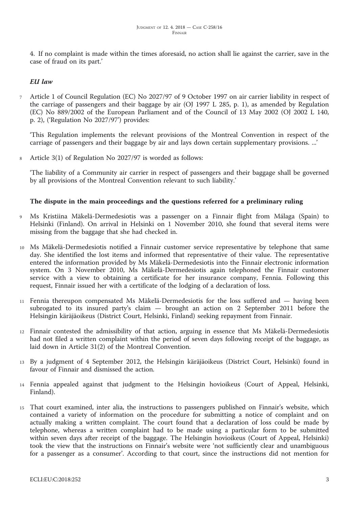4. If no complaint is made within the times aforesaid, no action shall lie against the carrier, save in the case of fraud on its part.'

# *EU law*

<sup>7</sup> Article 1 of Council Regulation (EC) No 2027/97 of 9 October 1997 on air carrier liability in respect of the carriage of passengers and their baggage by air (OJ 1997 L 285, p. 1), as amended by Regulation (EC) No 889/2002 of the European Parliament and of the Council of 13 May 2002 (OJ 2002 L 140, p. 2), ('Regulation No 2027/97') provides:

'This Regulation implements the relevant provisions of the Montreal Convention in respect of the carriage of passengers and their baggage by air and lays down certain supplementary provisions. ...'

<sup>8</sup> Article 3(1) of Regulation No 2027/97 is worded as follows:

'The liability of a Community air carrier in respect of passengers and their baggage shall be governed by all provisions of the Montreal Convention relevant to such liability.'

## **The dispute in the main proceedings and the questions referred for a preliminary ruling**

- <sup>9</sup> Ms Kristiina Mäkelä-Dermedesiotis was a passenger on a Finnair flight from Málaga (Spain) to Helsinki (Finland). On arrival in Helsinki on 1 November 2010, she found that several items were missing from the baggage that she had checked in.
- <sup>10</sup> Ms Mäkelä-Dermedesiotis notified a Finnair customer service representative by telephone that same day. She identified the lost items and informed that representative of their value. The representative entered the information provided by Ms Mäkelä-Dermedesiotis into the Finnair electronic information system. On 3 November 2010, Ms Mäkelä-Dermedesiotis again telephoned the Finnair customer service with a view to obtaining a certificate for her insurance company, Fennia. Following this request, Finnair issued her with a certificate of the lodging of a declaration of loss.
- <sup>11</sup> Fennia thereupon compensated Ms Mäkelä-Dermedesiotis for the loss suffered and having been subrogated to its insured party's claim — brought an action on 2 September 2011 before the Helsingin käräjäoikeus (District Court, Helsinki, Finland) seeking repayment from Finnair.
- <sup>12</sup> Finnair contested the admissibility of that action, arguing in essence that Ms Mäkelä-Dermedesiotis had not filed a written complaint within the period of seven days following receipt of the baggage, as laid down in Article 31(2) of the Montreal Convention.
- <sup>13</sup> By a judgment of 4 September 2012, the Helsingin käräjäoikeus (District Court, Helsinki) found in favour of Finnair and dismissed the action.
- <sup>14</sup> Fennia appealed against that judgment to the Helsingin hovioikeus (Court of Appeal, Helsinki, Finland).
- <sup>15</sup> That court examined, inter alia, the instructions to passengers published on Finnair's website, which contained a variety of information on the procedure for submitting a notice of complaint and on actually making a written complaint. The court found that a declaration of loss could be made by telephone, whereas a written complaint had to be made using a particular form to be submitted within seven days after receipt of the baggage. The Helsingin hovioikeus (Court of Appeal, Helsinki) took the view that the instructions on Finnair's website were 'not sufficiently clear and unambiguous for a passenger as a consumer'. According to that court, since the instructions did not mention for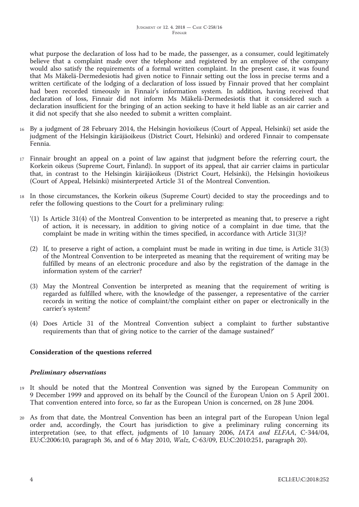what purpose the declaration of loss had to be made, the passenger, as a consumer, could legitimately believe that a complaint made over the telephone and registered by an employee of the company would also satisfy the requirements of a formal written complaint. In the present case, it was found that Ms Mäkelä-Dermedesiotis had given notice to Finnair setting out the loss in precise terms and a written certificate of the lodging of a declaration of loss issued by Finnair proved that her complaint had been recorded timeously in Finnair's information system. In addition, having received that declaration of loss, Finnair did not inform Ms Mäkelä-Dermedesiotis that it considered such a declaration insufficient for the bringing of an action seeking to have it held liable as an air carrier and it did not specify that she also needed to submit a written complaint.

- <sup>16</sup> By a judgment of 28 February 2014, the Helsingin hovioikeus (Court of Appeal, Helsinki) set aside the judgment of the Helsingin käräjäoikeus (District Court, Helsinki) and ordered Finnair to compensate Fennia.
- <sup>17</sup> Finnair brought an appeal on a point of law against that judgment before the referring court, the Korkein oikeus (Supreme Court, Finland). In support of its appeal, that air carrier claims in particular that, in contrast to the Helsingin käräjäoikeus (District Court, Helsinki), the Helsingin hovioikeus (Court of Appeal, Helsinki) misinterpreted Article 31 of the Montreal Convention.
- <sup>18</sup> In those circumstances, the Korkein oikeus (Supreme Court) decided to stay the proceedings and to refer the following questions to the Court for a preliminary ruling:
	- '(1) Is Article 31(4) of the Montreal Convention to be interpreted as meaning that, to preserve a right of action, it is necessary, in addition to giving notice of a complaint in due time, that the complaint be made in writing within the times specified, in accordance with Article 31(3)?
	- (2) If, to preserve a right of action, a complaint must be made in writing in due time, is Article 31(3) of the Montreal Convention to be interpreted as meaning that the requirement of writing may be fulfilled by means of an electronic procedure and also by the registration of the damage in the information system of the carrier?
	- (3) May the Montreal Convention be interpreted as meaning that the requirement of writing is regarded as fulfilled where, with the knowledge of the passenger, a representative of the carrier records in writing the notice of complaint/the complaint either on paper or electronically in the carrier's system?
	- (4) Does Article 31 of the Montreal Convention subject a complaint to further substantive requirements than that of giving notice to the carrier of the damage sustained?'

## **Consideration of the questions referred**

## *Preliminary observations*

- <sup>19</sup> It should be noted that the Montreal Convention was signed by the European Community on 9 December 1999 and approved on its behalf by the Council of the European Union on 5 April 2001. That convention entered into force, so far as the European Union is concerned, on 28 June 2004.
- <sup>20</sup> As from that date, the Montreal Convention has been an integral part of the European Union legal order and, accordingly, the Court has jurisdiction to give a preliminary ruling concerning its interpretation (see, to that effect, judgments of 10 January 2006, *IATA and ELFAA*, C-344/04, EU:C:2006:10, paragraph 36, and of 6 May 2010, *Walz*, C-63/09, EU:C:2010:251, paragraph 20).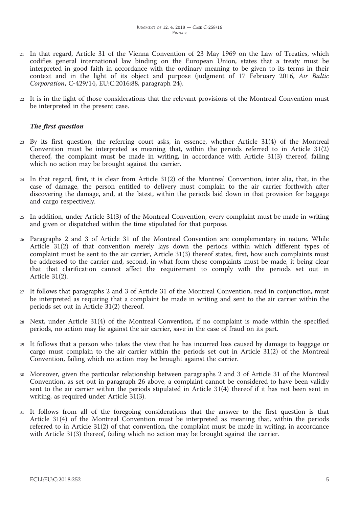- <sup>21</sup> In that regard, Article 31 of the Vienna Convention of 23 May 1969 on the Law of Treaties, which codifies general international law binding on the European Union, states that a treaty must be interpreted in good faith in accordance with the ordinary meaning to be given to its terms in their context and in the light of its object and purpose (judgment of 17 February 2016, *Air Baltic Corporation*, C-429/14, EU:C:2016:88, paragraph 24).
- <sup>22</sup> It is in the light of those considerations that the relevant provisions of the Montreal Convention must be interpreted in the present case.

## *The first question*

- <sup>23</sup> By its first question, the referring court asks, in essence, whether Article 31(4) of the Montreal Convention must be interpreted as meaning that, within the periods referred to in Article 31(2) thereof, the complaint must be made in writing, in accordance with Article 31(3) thereof, failing which no action may be brought against the carrier.
- <sup>24</sup> In that regard, first, it is clear from Article 31(2) of the Montreal Convention, inter alia, that, in the case of damage, the person entitled to delivery must complain to the air carrier forthwith after discovering the damage, and, at the latest, within the periods laid down in that provision for baggage and cargo respectively.
- <sup>25</sup> In addition, under Article 31(3) of the Montreal Convention, every complaint must be made in writing and given or dispatched within the time stipulated for that purpose.
- <sup>26</sup> Paragraphs 2 and 3 of Article 31 of the Montreal Convention are complementary in nature. While Article 31(2) of that convention merely lays down the periods within which different types of complaint must be sent to the air carrier, Article 31(3) thereof states, first, how such complaints must be addressed to the carrier and, second, in what form those complaints must be made, it being clear that that clarification cannot affect the requirement to comply with the periods set out in Article 31(2).
- <sup>27</sup> It follows that paragraphs 2 and 3 of Article 31 of the Montreal Convention, read in conjunction, must be interpreted as requiring that a complaint be made in writing and sent to the air carrier within the periods set out in Article 31(2) thereof.
- <sup>28</sup> Next, under Article 31(4) of the Montreal Convention, if no complaint is made within the specified periods, no action may lie against the air carrier, save in the case of fraud on its part.
- <sup>29</sup> It follows that a person who takes the view that he has incurred loss caused by damage to baggage or cargo must complain to the air carrier within the periods set out in Article 31(2) of the Montreal Convention, failing which no action may be brought against the carrier.
- <sup>30</sup> Moreover, given the particular relationship between paragraphs 2 and 3 of Article 31 of the Montreal Convention, as set out in paragraph 26 above, a complaint cannot be considered to have been validly sent to the air carrier within the periods stipulated in Article 31(4) thereof if it has not been sent in writing, as required under Article 31(3).
- <sup>31</sup> It follows from all of the foregoing considerations that the answer to the first question is that Article 31(4) of the Montreal Convention must be interpreted as meaning that, within the periods referred to in Article 31(2) of that convention, the complaint must be made in writing, in accordance with Article 31(3) thereof, failing which no action may be brought against the carrier.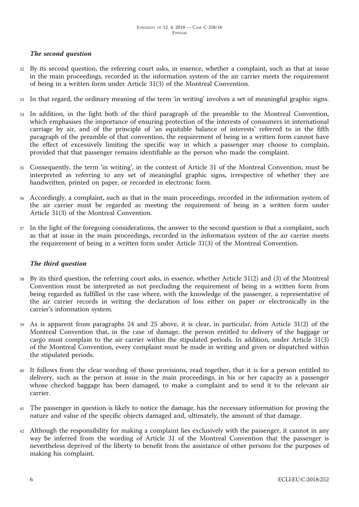# *The second question*

- <sup>32</sup> By its second question, the referring court asks, in essence, whether a complaint, such as that at issue in the main proceedings, recorded in the information system of the air carrier meets the requirement of being in a written form under Article 31(3) of the Montreal Convention.
- <sup>33</sup> In that regard, the ordinary meaning of the term 'in writing' involves a set of meaningful graphic signs.
- <sup>34</sup> In addition, in the light both of the third paragraph of the preamble to the Montreal Convention, which emphasises the importance of ensuring protection of the interests of consumers in international carriage by air, and of the principle of 'an equitable balance of interests' referred to in the fifth paragraph of the preamble of that convention, the requirement of being in a written form cannot have the effect of excessively limiting the specific way in which a passenger may choose to complain, provided that that passenger remains identifiable as the person who made the complaint.
- <sup>35</sup> Consequently, the term 'in writing', in the context of Article 31 of the Montreal Convention, must be interpreted as referring to any set of meaningful graphic signs, irrespective of whether they are handwritten, printed on paper, or recorded in electronic form.
- <sup>36</sup> Accordingly, a complaint, such as that in the main proceedings, recorded in the information system of the air carrier must be regarded as meeting the requirement of being in a written form under Article 31(3) of the Montreal Convention.
- <sup>37</sup> In the light of the foregoing considerations, the answer to the second question is that a complaint, such as that at issue in the main proceedings, recorded in the information system of the air carrier meets the requirement of being in a written form under Article 31(3) of the Montreal Convention.

## *The third question*

- <sup>38</sup> By its third question, the referring court asks, in essence, whether Article 31(2) and (3) of the Montreal Convention must be interpreted as not precluding the requirement of being in a written form from being regarded as fulfilled in the case where, with the knowledge of the passenger, a representative of the air carrier records in writing the declaration of loss either on paper or electronically in the carrier's information system.
- <sup>39</sup> As is apparent from paragraphs 24 and 25 above, it is clear, in particular, from Article 31(2) of the Montreal Convention that, in the case of damage, the person entitled to delivery of the baggage or cargo must complain to the air carrier within the stipulated periods. In addition, under Article 31(3) of the Montreal Convention, every complaint must be made in writing and given or dispatched within the stipulated periods.
- <sup>40</sup> It follows from the clear wording of those provisions, read together, that it is for a person entitled to delivery, such as the person at issue in the main proceedings, in his or her capacity as a passenger whose checked baggage has been damaged, to make a complaint and to send it to the relevant air carrier.
- <sup>41</sup> The passenger in question is likely to notice the damage, has the necessary information for proving the nature and value of the specific objects damaged and, ultimately, the amount of that damage.
- <sup>42</sup> Although the responsibility for making a complaint lies exclusively with the passenger, it cannot in any way be inferred from the wording of Article 31 of the Montreal Convention that the passenger is nevertheless deprived of the liberty to benefit from the assistance of other persons for the purposes of making his complaint.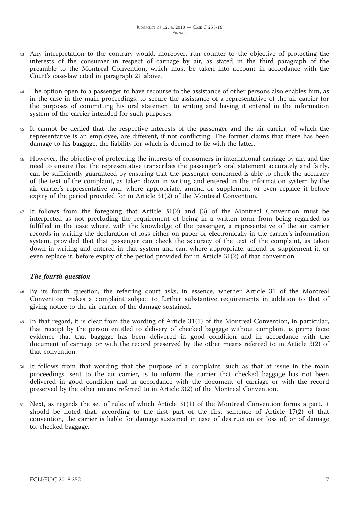- <sup>43</sup> Any interpretation to the contrary would, moreover, run counter to the objective of protecting the interests of the consumer in respect of carriage by air, as stated in the third paragraph of the preamble to the Montreal Convention, which must be taken into account in accordance with the Court's case-law cited in paragraph 21 above.
- 44 The option open to a passenger to have recourse to the assistance of other persons also enables him, as in the case in the main proceedings, to secure the assistance of a representative of the air carrier for the purposes of committing his oral statement to writing and having it entered in the information system of the carrier intended for such purposes.
- <sup>45</sup> It cannot be denied that the respective interests of the passenger and the air carrier, of which the representative is an employee, are different, if not conflicting. The former claims that there has been damage to his baggage, the liability for which is deemed to lie with the latter.
- <sup>46</sup> However, the objective of protecting the interests of consumers in international carriage by air, and the need to ensure that the representative transcribes the passenger's oral statement accurately and fairly, can be sufficiently guaranteed by ensuring that the passenger concerned is able to check the accuracy of the text of the complaint, as taken down in writing and entered in the information system by the air carrier's representative and, where appropriate, amend or supplement or even replace it before expiry of the period provided for in Article 31(2) of the Montreal Convention.
- <sup>47</sup> It follows from the foregoing that Article 31(2) and (3) of the Montreal Convention must be interpreted as not precluding the requirement of being in a written form from being regarded as fulfilled in the case where, with the knowledge of the passenger, a representative of the air carrier records in writing the declaration of loss either on paper or electronically in the carrier's information system, provided that that passenger can check the accuracy of the text of the complaint, as taken down in writing and entered in that system and can, where appropriate, amend or supplement it, or even replace it, before expiry of the period provided for in Article 31(2) of that convention.

## *The fourth question*

- By its fourth question, the referring court asks, in essence, whether Article 31 of the Montreal Convention makes a complaint subject to further substantive requirements in addition to that of giving notice to the air carrier of the damage sustained.
- <sup>49</sup> In that regard, it is clear from the wording of Article 31(1) of the Montreal Convention, in particular, that receipt by the person entitled to delivery of checked baggage without complaint is prima facie evidence that that baggage has been delivered in good condition and in accordance with the document of carriage or with the record preserved by the other means referred to in Article 3(2) of that convention.
- It follows from that wording that the purpose of a complaint, such as that at issue in the main proceedings, sent to the air carrier, is to inform the carrier that checked baggage has not been delivered in good condition and in accordance with the document of carriage or with the record preserved by the other means referred to in Article 3(2) of the Montreal Convention.
- <sup>51</sup> Next, as regards the set of rules of which Article 31(1) of the Montreal Convention forms a part, it should be noted that, according to the first part of the first sentence of Article 17(2) of that convention, the carrier is liable for damage sustained in case of destruction or loss of, or of damage to, checked baggage.